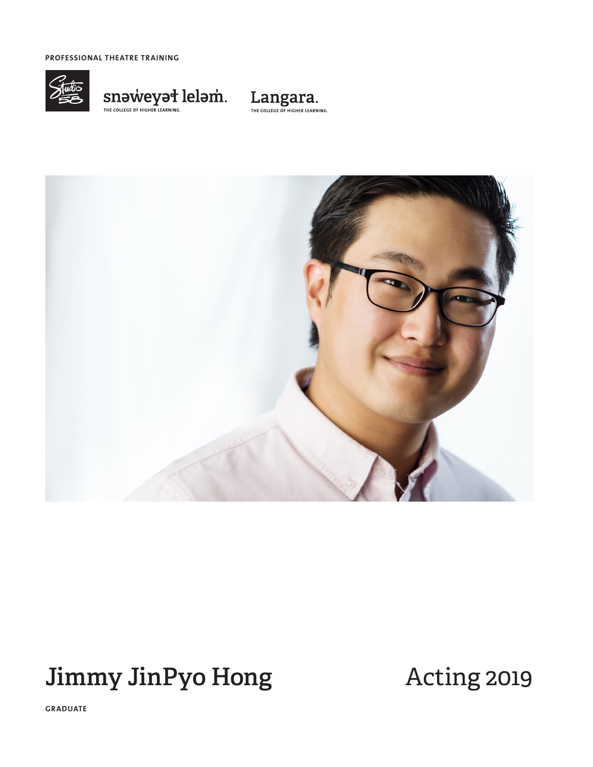**PROFESSIONAL THEATRE TRAINING**



 $\underset{\tiny{\text{THE COLICEG OF HIGHER LEARNING.}}{\text{INHC NCLGCF OF HIGHER LEARNING.}}} {\text{In DIV}}$ 





# **Jimmy JinPyo Hong** Acting 2019

**GRADUATE**